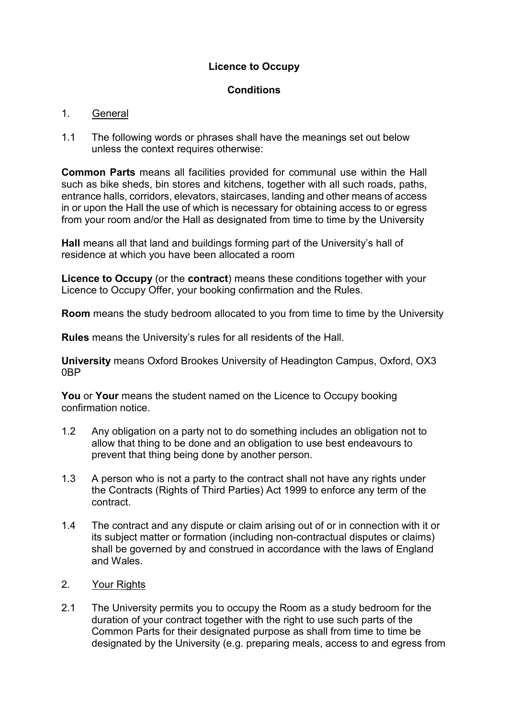## **Licence to Occupy**

## **Conditions**

## 1. General

1.1 The following words or phrases shall have the meanings set out below unless the context requires otherwise:

**Common Parts** means all facilities provided for communal use within the Hall such as bike sheds, bin stores and kitchens, together with all such roads, paths, entrance halls, corridors, elevators, staircases, landing and other means of access in or upon the Hall the use of which is necessary for obtaining access to or egress from your room and/or the Hall as designated from time to time by the University

**Hall** means all that land and buildings forming part of the University's hall of residence at which you have been allocated a room

**Licence to Occupy** (or the **contract**) means these conditions together with your Licence to Occupy Offer, your booking confirmation and the Rules.

**Room** means the study bedroom allocated to you from time to time by the University

**Rules** means the University's rules for all residents of the Hall.

**University** means Oxford Brookes University of Headington Campus, Oxford, OX3 0BP

**You** or **Your** means the student named on the Licence to Occupy booking confirmation notice.

- 1.2 Any obligation on a party not to do something includes an obligation not to allow that thing to be done and an obligation to use best endeavours to prevent that thing being done by another person.
- 1.3 A person who is not a party to the contract shall not have any rights under the Contracts (Rights of Third Parties) Act 1999 to enforce any term of the contract.
- 1.4 The contract and any dispute or claim arising out of or in connection with it or its subject matter or formation (including non-contractual disputes or claims) shall be governed by and construed in accordance with the laws of England and Wales.
- 2. Your Rights
- 2.1 The University permits you to occupy the Room as a study bedroom for the duration of your contract together with the right to use such parts of the Common Parts for their designated purpose as shall from time to time be designated by the University (e.g. preparing meals, access to and egress from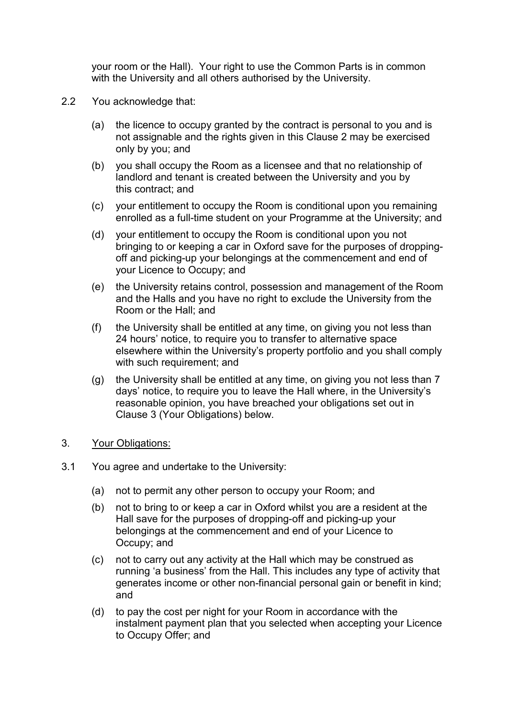your room or the Hall). Your right to use the Common Parts is in common with the University and all others authorised by the University.

- 2.2 You acknowledge that:
	- (a) the licence to occupy granted by the contract is personal to you and is not assignable and the rights given in this Clause 2 may be exercised only by you; and
	- (b) you shall occupy the Room as a licensee and that no relationship of landlord and tenant is created between the University and you by this contract; and
	- (c) your entitlement to occupy the Room is conditional upon you remaining enrolled as a full-time student on your Programme at the University; and
	- (d) your entitlement to occupy the Room is conditional upon you not bringing to or keeping a car in Oxford save for the purposes of droppingoff and picking-up your belongings at the commencement and end of your Licence to Occupy; and
	- (e) the University retains control, possession and management of the Room and the Halls and you have no right to exclude the University from the Room or the Hall; and
	- (f) the University shall be entitled at any time, on giving you not less than 24 hours' notice, to require you to transfer to alternative space elsewhere within the University's property portfolio and you shall comply with such requirement; and
	- (g) the University shall be entitled at any time, on giving you not less than 7 days' notice, to require you to leave the Hall where, in the University's reasonable opinion, you have breached your obligations set out in Clause 3 (Your Obligations) below.
- 3. Your Obligations:
- 3.1 You agree and undertake to the University:
	- (a) not to permit any other person to occupy your Room; and
	- (b) not to bring to or keep a car in Oxford whilst you are a resident at the Hall save for the purposes of dropping-off and picking-up your belongings at the commencement and end of your Licence to Occupy; and
	- (c) not to carry out any activity at the Hall which may be construed as running 'a business' from the Hall. This includes any type of activity that generates income or other non-financial personal gain or benefit in kind; and
	- (d) to pay the cost per night for your Room in accordance with the instalment payment plan that you selected when accepting your Licence to Occupy Offer; and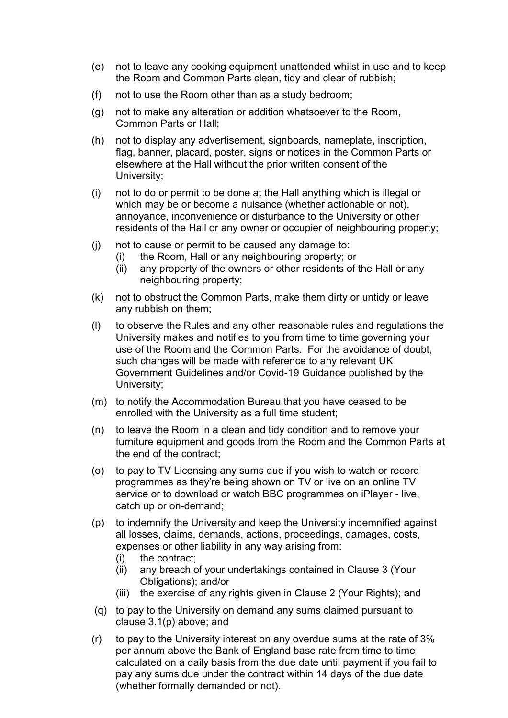- (e) not to leave any cooking equipment unattended whilst in use and to keep the Room and Common Parts clean, tidy and clear of rubbish;
- (f) not to use the Room other than as a study bedroom;
- (g) not to make any alteration or addition whatsoever to the Room, Common Parts or Hall;
- (h) not to display any advertisement, signboards, nameplate, inscription, flag, banner, placard, poster, signs or notices in the Common Parts or elsewhere at the Hall without the prior written consent of the University;
- (i) not to do or permit to be done at the Hall anything which is illegal or which may be or become a nuisance (whether actionable or not), annoyance, inconvenience or disturbance to the University or other residents of the Hall or any owner or occupier of neighbouring property;
- (j) not to cause or permit to be caused any damage to:
	- (i) the Room, Hall or any neighbouring property; or
	- (ii) any property of the owners or other residents of the Hall or any neighbouring property;
- (k) not to obstruct the Common Parts, make them dirty or untidy or leave any rubbish on them;
- (l) to observe the Rules and any other reasonable rules and regulations the University makes and notifies to you from time to time governing your use of the Room and the Common Parts. For the avoidance of doubt, such changes will be made with reference to any relevant UK Government Guidelines and/or Covid-19 Guidance published by the University;
- (m) to notify the Accommodation Bureau that you have ceased to be enrolled with the University as a full time student;
- (n) to leave the Room in a clean and tidy condition and to remove your furniture equipment and goods from the Room and the Common Parts at the end of the contract;
- (o) to pay to TV Licensing any sums due if you wish to watch or record programmes as they're being shown on TV or live on an online TV service or to download or watch BBC programmes on iPlayer - live, catch up or on-demand;
- (p) to indemnify the University and keep the University indemnified against all losses, claims, demands, actions, proceedings, damages, costs, expenses or other liability in any way arising from:
	- (i) the contract;
	- (ii) any breach of your undertakings contained in Clause 3 (Your Obligations); and/or
	- (iii) the exercise of any rights given in Clause 2 (Your Rights); and
- (q) to pay to the University on demand any sums claimed pursuant to clause 3.1(p) above; and
- (r) to pay to the University interest on any overdue sums at the rate of 3% per annum above the Bank of England base rate from time to time calculated on a daily basis from the due date until payment if you fail to pay any sums due under the contract within 14 days of the due date (whether formally demanded or not).